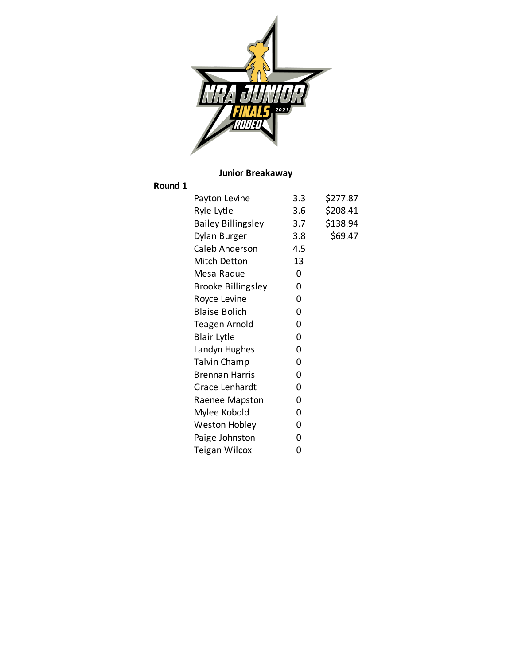

# **Junior Breakaway**

### **Round 1**

| Payton Levine             | 3.3 | \$277.87 |
|---------------------------|-----|----------|
| Ryle Lytle                | 3.6 | \$208.41 |
| <b>Bailey Billingsley</b> | 3.7 | \$138.94 |
| Dylan Burger              | 3.8 | \$69.47  |
| Caleb Anderson            | 4.5 |          |
| <b>Mitch Detton</b>       | 13  |          |
| Mesa Radue                | 0   |          |
| <b>Brooke Billingsley</b> | 0   |          |
| Royce Levine              | 0   |          |
| <b>Blaise Bolich</b>      | 0   |          |
| Teagen Arnold             | 0   |          |
| <b>Blair Lytle</b>        | 0   |          |
| Landyn Hughes             | 0   |          |
| <b>Talvin Champ</b>       | 0   |          |
| <b>Brennan Harris</b>     | 0   |          |
| Grace Lenhardt            | 0   |          |
| Raenee Mapston            | 0   |          |
| Mylee Kobold              | 0   |          |
| Weston Hobley             | 0   |          |
| Paige Johnston            | 0   |          |
| <b>Teigan Wilcox</b>      | 0   |          |
|                           |     |          |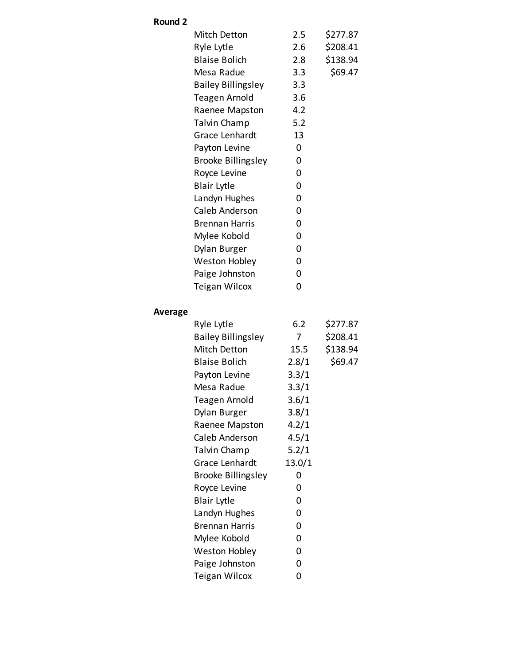## **Round 2**

| Mitch Detton              | 2.5     | \$277.87 |
|---------------------------|---------|----------|
| Ryle Lytle                | $2.6\,$ | \$208.41 |
| <b>Blaise Bolich</b>      | 2.8     | \$138.94 |
| Mesa Radue                | 3.3     | \$69.47  |
| <b>Bailey Billingsley</b> | 3.3     |          |
| Teagen Arnold             | 3.6     |          |
| Raenee Mapston            | 4.2     |          |
| Talvin Champ              | 5.2     |          |
| Grace Lenhardt            | 13      |          |
| Payton Levine             | 0       |          |
| <b>Brooke Billingsley</b> | 0       |          |
| Royce Levine              | 0       |          |
| <b>Blair Lytle</b>        | 0       |          |
| Landyn Hughes             | 0       |          |
| Caleb Anderson            | 0       |          |
| <b>Brennan Harris</b>     | ი       |          |
| Mylee Kobold              | 0       |          |
| Dylan Burger              | 0       |          |
| Weston Hobley             | 0       |          |
| Paige Johnston            | 0       |          |
| Teigan Wilcox             | 0       |          |
|                           |         |          |

## **Average**

| Ryle Lytle                | 6.2    | \$277.87 |
|---------------------------|--------|----------|
| <b>Bailey Billingsley</b> | 7      | \$208.41 |
| Mitch Detton              | 15.5   | \$138.94 |
| <b>Blaise Bolich</b>      | 2.8/1  | \$69.47  |
| Payton Levine             | 3.3/1  |          |
| Mesa Radue                | 3.3/1  |          |
| Teagen Arnold             | 3.6/1  |          |
| Dylan Burger              | 3.8/1  |          |
| Raenee Mapston            | 4.2/1  |          |
| Caleb Anderson            | 4.5/1  |          |
| <b>Talvin Champ</b>       | 5.2/1  |          |
| Grace Lenhardt            | 13.0/1 |          |
| <b>Brooke Billingsley</b> | 0      |          |
| Royce Levine              | 0      |          |
| <b>Blair Lytle</b>        | 0      |          |
| Landyn Hughes             | 0      |          |
| <b>Brennan Harris</b>     | 0      |          |
| Mylee Kobold              | 0      |          |
| Weston Hobley             | 0      |          |
| Paige Johnston            | 0      |          |
| Teigan Wilcox             | 0      |          |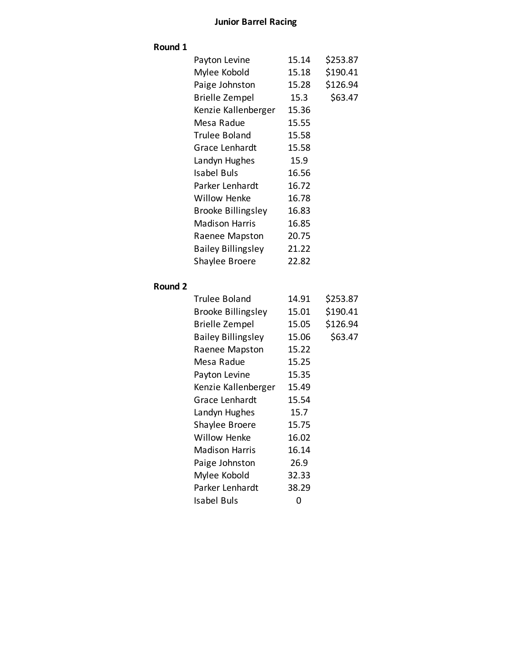## **Junior Barrel Racing**

### **Round 1**

| Payton Levine             | 15.14 | \$253.87 |
|---------------------------|-------|----------|
| Mylee Kobold              | 15.18 | \$190.41 |
| Paige Johnston            | 15.28 | \$126.94 |
| <b>Brielle Zempel</b>     | 15.3  | \$63.47  |
| Kenzie Kallenberger       | 15.36 |          |
| Mesa Radue                | 15.55 |          |
| Trulee Boland             | 15.58 |          |
| Grace Lenhardt            | 15.58 |          |
| Landyn Hughes             | 15.9  |          |
| Isabel Buls               | 16.56 |          |
| Parker Lenhardt           | 16.72 |          |
| Willow Henke              | 16.78 |          |
| <b>Brooke Billingsley</b> | 16.83 |          |
| <b>Madison Harris</b>     | 16.85 |          |
| Raenee Mapston            | 20.75 |          |
| <b>Bailey Billingsley</b> | 21.22 |          |
| Shaylee Broere            | 22.82 |          |
|                           |       |          |

### **Round 2**

| Trulee Boland             | 14.91 | \$253.87 |
|---------------------------|-------|----------|
| <b>Brooke Billingsley</b> | 15.01 | \$190.41 |
| <b>Brielle Zempel</b>     | 15.05 | \$126.94 |
| <b>Bailey Billingsley</b> | 15.06 | \$63.47  |
| Raenee Mapston            | 15.22 |          |
| Mesa Radue                | 15.25 |          |
| Payton Levine             | 15.35 |          |
| Kenzie Kallenberger       | 15.49 |          |
| Grace Lenhardt            | 15.54 |          |
| Landyn Hughes             | 15.7  |          |
| Shaylee Broere            | 15.75 |          |
| Willow Henke              | 16.02 |          |
| Madison Harris            | 16.14 |          |
| Paige Johnston            | 26.9  |          |
| Mylee Kobold              | 32.33 |          |
| Parker Lenhardt           | 38.29 |          |
| Isabel Buls               | 0     |          |